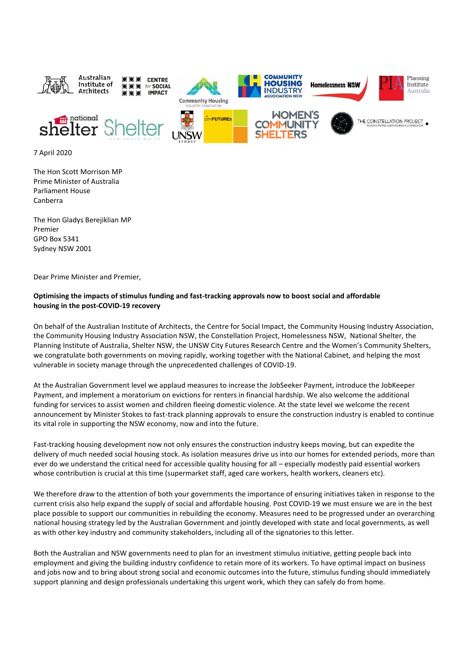

7 April 2020

The Hon Scott Morrison MP Prime Minister of Australia Parliament House Canberra

The Hon Gladys Berejiklian MP Premier GPO Box 5341 Sydney NSW 2001

Dear Prime Minister and Premier,

## **Optimising the impacts of stimulus funding and fast-tracking approvals now to boost social and affordable housing in the post-COVID-19 recovery**

On behalf of the Australian Institute of Architects, the Centre for Social Impact, the Community Housing Industry Association, the Community Housing Industry Association NSW, the Constellation Project, Homelessness NSW, National Shelter, the Planning Institute of Australia, Shelter NSW, the UNSW City Futures Research Centre and the Women's Community Shelters, we congratulate both governments on moving rapidly, working together with the National Cabinet, and helping the most vulnerable in society manage through the unprecedented challenges of COVID-19.

At the Australian Government level we applaud measures to increase the JobSeeker Payment, introduce the JobKeeper Payment, and implement a moratorium on evictions for renters in financial hardship. We also welcome the additional funding for services to assist women and children fleeing domestic violence. At the state level we welcome the recent announcement by Minister Stokes to fast-track planning approvals to ensure the construction industry is enabled to continue its vital role in supporting the NSW economy, now and into the future.

Fast-tracking housing development now not only ensures the construction industry keeps moving, but can expedite the delivery of much needed social housing stock. As isolation measures drive us into our homes for extended periods, more than ever do we understand the critical need for accessible quality housing for all – especially modestly paid essential workers whose contribution is crucial at this time (supermarket staff, aged care workers, health workers, cleaners etc).

We therefore draw to the attention of both your governments the importance of ensuring initiatives taken in response to the current crisis also help expand the supply of social and affordable housing. Post COVID-19 we must ensure we are in the best place possible to support our communities in rebuilding the economy. Measures need to be progressed under an overarching national housing strategy led by the Australian Government and jointly developed with state and local governments, as well as with other key industry and community stakeholders, including all of the signatories to this letter.

Both the Australian and NSW governments need to plan for an investment stimulus initiative, getting people back into employment and giving the building industry confidence to retain more of its workers. To have optimal impact on business and jobs now and to bring about strong social and economic outcomes into the future, stimulus funding should immediately support planning and design professionals undertaking this urgent work, which they can safely do from home.